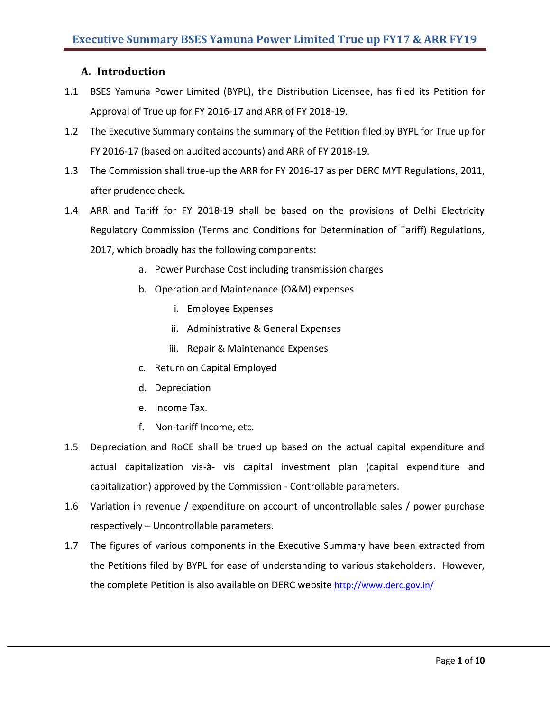# **A. Introduction**

- 1.1 BSES Yamuna Power Limited (BYPL), the Distribution Licensee, has filed its Petition for Approval of True up for FY 2016-17 and ARR of FY 2018-19.
- 1.2 The Executive Summary contains the summary of the Petition filed by BYPL for True up for FY 2016-17 (based on audited accounts) and ARR of FY 2018-19.
- 1.3 The Commission shall true-up the ARR for FY 2016-17 as per DERC MYT Regulations, 2011, after prudence check.
- 1.4 ARR and Tariff for FY 2018-19 shall be based on the provisions of Delhi Electricity Regulatory Commission (Terms and Conditions for Determination of Tariff) Regulations, 2017, which broadly has the following components:
	- a. Power Purchase Cost including transmission charges
	- b. Operation and Maintenance (O&M) expenses
		- i. Employee Expenses
		- ii. Administrative & General Expenses
		- iii. Repair & Maintenance Expenses
	- c. Return on Capital Employed
	- d. Depreciation
	- e. Income Tax.
	- f. Non-tariff Income, etc.
- 1.5 Depreciation and RoCE shall be trued up based on the actual capital expenditure and actual capitalization vis-à- vis capital investment plan (capital expenditure and capitalization) approved by the Commission - Controllable parameters.
- 1.6 Variation in revenue / expenditure on account of uncontrollable sales / power purchase respectively – Uncontrollable parameters.
- 1.7 The figures of various components in the Executive Summary have been extracted from the Petitions filed by BYPL for ease of understanding to various stakeholders. However, the complete Petition is also available on DERC website <http://www.derc.gov.in/>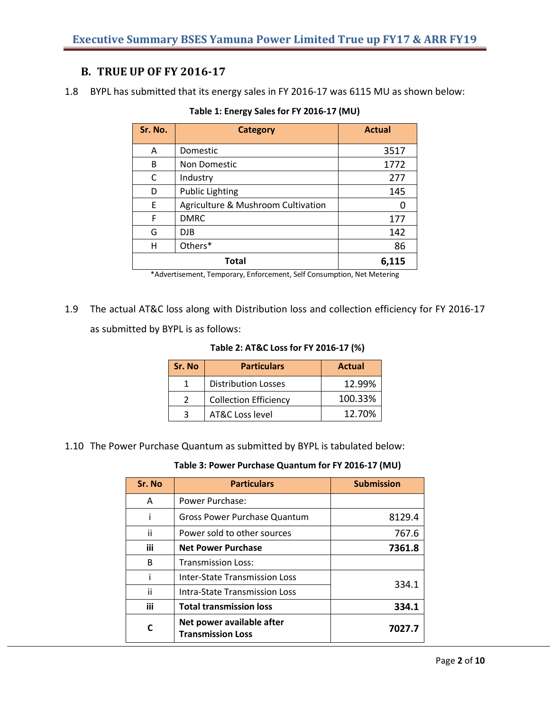# **B. TRUE UP OF FY 2016-17**

1.8 BYPL has submitted that its energy sales in FY 2016-17 was 6115 MU as shown below:

| Sr. No. | <b>Category</b>                    | <b>Actual</b> |
|---------|------------------------------------|---------------|
| A       | Domestic                           | 3517          |
| B       | Non Domestic                       | 1772          |
| C       | Industry                           | 277           |
| D       | <b>Public Lighting</b>             | 145           |
| E       | Agriculture & Mushroom Cultivation |               |
| F       | <b>DMRC</b>                        | 177           |
| G       | DJB                                | 142           |
| н       | Others*                            | 86            |
|         | <b>Total</b>                       | 6,115         |

|  |  | Table 1: Energy Sales for FY 2016-17 (MU) |
|--|--|-------------------------------------------|
|--|--|-------------------------------------------|

\*Advertisement, Temporary, Enforcement, Self Consumption, Net Metering

1.9 The actual AT&C loss along with Distribution loss and collection efficiency for FY 2016-17 as submitted by BYPL is as follows:

**Table 2: AT&C Loss for FY 2016-17 (%)**

| Sr. No | <b>Particulars</b>           | <b>Actual</b> |
|--------|------------------------------|---------------|
|        | <b>Distribution Losses</b>   | 12.99%        |
|        | <b>Collection Efficiency</b> | 100.33%       |
|        | <b>AT&amp;C Loss level</b>   | 12.70%        |

1.10 The Power Purchase Quantum as submitted by BYPL is tabulated below:

| Sr. No | <b>Particulars</b>                                    | <b>Submission</b> |
|--------|-------------------------------------------------------|-------------------|
| A      | Power Purchase:                                       |                   |
| ı      | Gross Power Purchase Quantum                          | 8129.4            |
| ii     | Power sold to other sources                           | 767.6             |
| iii    | <b>Net Power Purchase</b>                             | 7361.8            |
| B      | <b>Transmission Loss:</b>                             |                   |
|        | <b>Inter-State Transmission Loss</b>                  | 334.1             |
| ii     | Intra-State Transmission Loss                         |                   |
| iii    | <b>Total transmission loss</b>                        | 334.1             |
|        | Net power available after<br><b>Transmission Loss</b> | 7027.7            |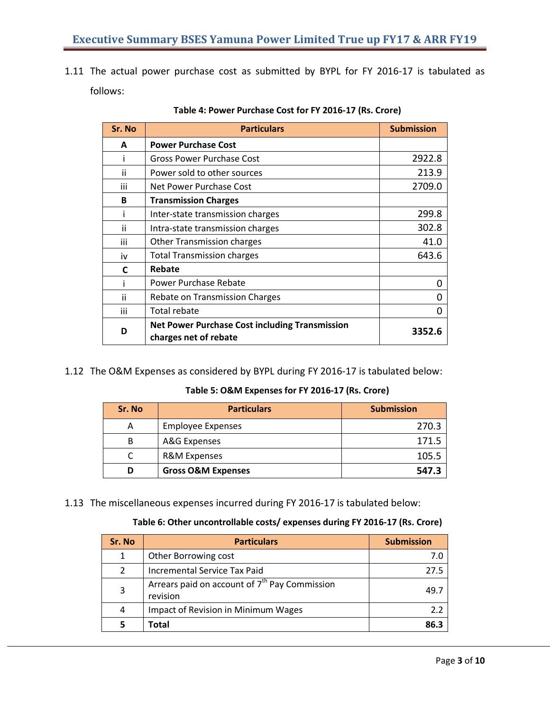1.11 The actual power purchase cost as submitted by BYPL for FY 2016-17 is tabulated as follows:

| Sr. No | <b>Particulars</b>                                                             | <b>Submission</b> |
|--------|--------------------------------------------------------------------------------|-------------------|
| A      | <b>Power Purchase Cost</b>                                                     |                   |
|        | Gross Power Purchase Cost                                                      | 2922.8            |
| ii     | Power sold to other sources                                                    | 213.9             |
| iii    | Net Power Purchase Cost                                                        | 2709.0            |
| B      | <b>Transmission Charges</b>                                                    |                   |
|        | Inter-state transmission charges                                               | 299.8             |
| ii     | Intra-state transmission charges                                               | 302.8             |
| iii    | <b>Other Transmission charges</b>                                              | 41.0              |
| iv     | <b>Total Transmission charges</b>                                              | 643.6             |
| C      | Rebate                                                                         |                   |
|        | <b>Power Purchase Rebate</b>                                                   | O                 |
| ii     | Rebate on Transmission Charges                                                 |                   |
| iii    | Total rebate                                                                   |                   |
| D      | <b>Net Power Purchase Cost including Transmission</b><br>charges net of rebate | 3352.6            |

| Table 4: Power Purchase Cost for FY 2016-17 (Rs. Crore) |  |
|---------------------------------------------------------|--|
|---------------------------------------------------------|--|

1.12 The O&M Expenses as considered by BYPL during FY 2016-17 is tabulated below:

## **Table 5: O&M Expenses for FY 2016-17 (Rs. Crore)**

| Sr. No | <b>Particulars</b>            | <b>Submission</b> |
|--------|-------------------------------|-------------------|
| А      | <b>Employee Expenses</b>      | 270.3             |
| B      | A&G Expenses                  | 171.5             |
|        | <b>R&amp;M Expenses</b>       | 105.5             |
| D      | <b>Gross O&amp;M Expenses</b> | 547.3             |

1.13 The miscellaneous expenses incurred during FY 2016-17 is tabulated below:

## **Table 6: Other uncontrollable costs/ expenses during FY 2016-17 (Rs. Crore)**

| Sr. No | <b>Particulars</b>                                                    | <b>Submission</b> |
|--------|-----------------------------------------------------------------------|-------------------|
| 1      | Other Borrowing cost                                                  |                   |
| 2      | Incremental Service Tax Paid                                          | 27.5              |
| 3      | Arrears paid on account of 7 <sup>th</sup> Pay Commission<br>revision | 49.               |
| 4      | Impact of Revision in Minimum Wages                                   | 22                |
| 5      | <b>Total</b>                                                          | 86.3              |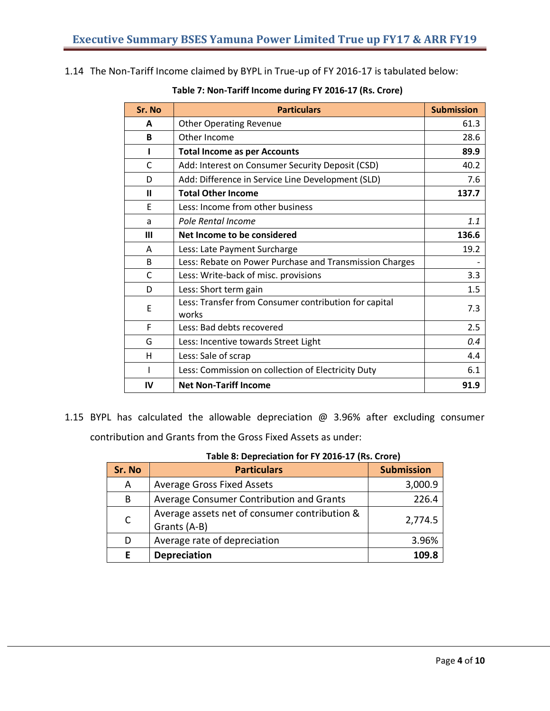1.14 The Non-Tariff Income claimed by BYPL in True-up of FY 2016-17 is tabulated below:

| Sr. No       | <b>Particulars</b>                                             | <b>Submission</b> |
|--------------|----------------------------------------------------------------|-------------------|
| A            | <b>Other Operating Revenue</b>                                 | 61.3              |
| B            | Other Income                                                   | 28.6              |
|              | <b>Total Income as per Accounts</b>                            | 89.9              |
| C            | Add: Interest on Consumer Security Deposit (CSD)               | 40.2              |
| D            | Add: Difference in Service Line Development (SLD)              | 7.6               |
| $\mathbf{I}$ | <b>Total Other Income</b>                                      | 137.7             |
| E            | Less: Income from other business                               |                   |
| a            | Pole Rental Income                                             | 1.1               |
| Ш            | Net Income to be considered                                    | 136.6             |
| A            | Less: Late Payment Surcharge                                   | 19.2              |
| <sub>B</sub> | Less: Rebate on Power Purchase and Transmission Charges        |                   |
| C            | Less: Write-back of misc. provisions                           | 3.3               |
| D            | Less: Short term gain                                          | 1.5               |
| Ε            | Less: Transfer from Consumer contribution for capital<br>works | 7.3               |
| F            | Less: Bad debts recovered                                      | 2.5               |
| G            | Less: Incentive towards Street Light                           | 0.4               |
| н            | Less: Sale of scrap                                            | 4.4               |
|              | Less: Commission on collection of Electricity Duty             | 6.1               |
| IV           | <b>Net Non-Tariff Income</b>                                   | 91.9              |

# **Table 7: Non-Tariff Income during FY 2016-17 (Rs. Crore)**

1.15 BYPL has calculated the allowable depreciation @ 3.96% after excluding consumer contribution and Grants from the Gross Fixed Assets as under:

### **Table 8: Depreciation for FY 2016-17 (Rs. Crore)**

| Sr. No       | <b>Particulars</b>                                            | <b>Submission</b> |
|--------------|---------------------------------------------------------------|-------------------|
| A            | <b>Average Gross Fixed Assets</b>                             | 3,000.9           |
| B            | Average Consumer Contribution and Grants                      | 226.4             |
| $\mathsf{C}$ | Average assets net of consumer contribution &<br>Grants (A-B) | 2,774.5           |
| D            | Average rate of depreciation                                  | 3.96%             |
| F            | <b>Depreciation</b>                                           | 109.8             |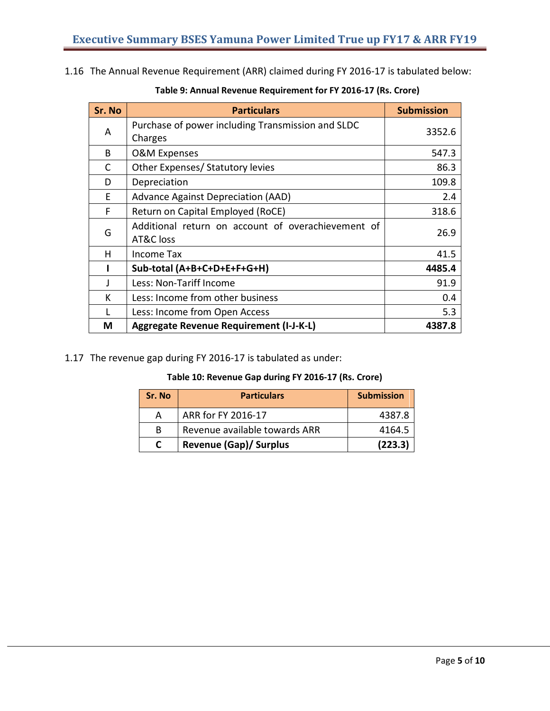1.16 The Annual Revenue Requirement (ARR) claimed during FY 2016-17 is tabulated below:

| Sr. No | <b>Particulars</b>                                 | <b>Submission</b> |
|--------|----------------------------------------------------|-------------------|
| A      | Purchase of power including Transmission and SLDC  | 3352.6            |
|        | Charges                                            |                   |
| B      | <b>O&amp;M Expenses</b>                            | 547.3             |
| C      | Other Expenses/ Statutory levies                   | 86.3              |
| D      | Depreciation                                       | 109.8             |
| F      | Advance Against Depreciation (AAD)                 | 2.4               |
| F      | Return on Capital Employed (RoCE)                  | 318.6             |
|        | Additional return on account of overachievement of |                   |
| G      | AT&C loss                                          | 26.9              |
| н      | Income Tax                                         | 41.5              |
|        | Sub-total (A+B+C+D+E+F+G+H)                        | 4485.4            |
|        | Less: Non-Tariff Income                            | 91.9              |
| К      | Less: Income from other business                   | 0.4               |
|        | Less: Income from Open Access                      | 5.3               |
| M      | Aggregate Revenue Requirement (I-J-K-L)            | 4387.8            |

# **Table 9: Annual Revenue Requirement for FY 2016-17 (Rs. Crore)**

# 1.17 The revenue gap during FY 2016-17 is tabulated as under:

## **Table 10: Revenue Gap during FY 2016-17 (Rs. Crore)**

| Sr. No | <b>Particulars</b>            | <b>Submission</b> |
|--------|-------------------------------|-------------------|
| A      | ARR for FY 2016-17            | 4387.8            |
| B.     | Revenue available towards ARR | 4164.5            |
| C      | <b>Revenue (Gap)/ Surplus</b> | (223.3)           |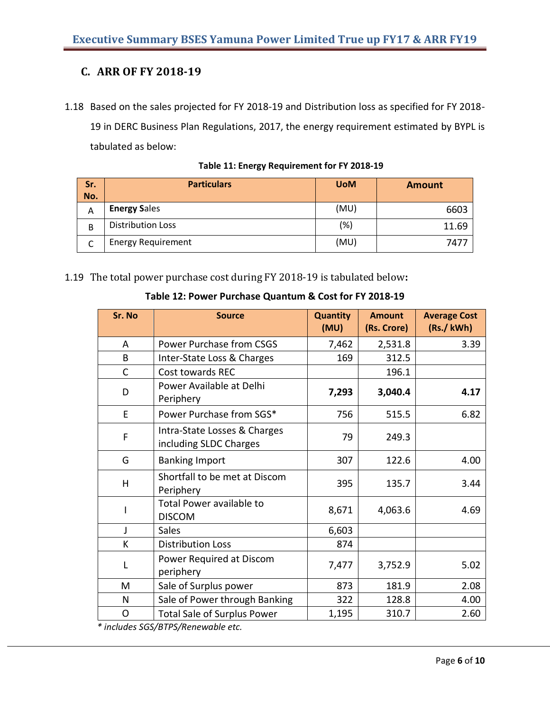# **C. ARR OF FY 2018-19**

1.18 Based on the sales projected for FY 2018-19 and Distribution loss as specified for FY 2018- 19 in DERC Business Plan Regulations, 2017, the energy requirement estimated by BYPL is tabulated as below:

| Sr.<br>No. | <b>Particulars</b>        | <b>UoM</b> | <b>Amount</b> |
|------------|---------------------------|------------|---------------|
| A          | <b>Energy Sales</b>       | (MU)       | 6603          |
| B          | <b>Distribution Loss</b>  | (%)        | 11.69         |
|            | <b>Energy Requirement</b> | (MU)       | 747           |

**Table 11: Energy Requirement for FY 2018-19**

1.19 The total power purchase cost during FY 2018-19 is tabulated below**:**

| Table 12: Power Purchase Quantum & Cost for FY 2018-19 |  |  |  |
|--------------------------------------------------------|--|--|--|
|--------------------------------------------------------|--|--|--|

| Sr. No         | <b>Source</b>                                          | <b>Quantity</b><br>(MU) | <b>Amount</b><br>(Rs. Crore) | <b>Average Cost</b><br>(Rs./kWh) |
|----------------|--------------------------------------------------------|-------------------------|------------------------------|----------------------------------|
| $\overline{A}$ | Power Purchase from CSGS                               | 7,462                   | 2,531.8                      | 3.39                             |
| B              | Inter-State Loss & Charges                             | 169                     | 312.5                        |                                  |
| C              | Cost towards REC                                       |                         | 196.1                        |                                  |
| D              | Power Available at Delhi<br>Periphery                  | 7,293                   | 3,040.4                      | 4.17                             |
| E              | Power Purchase from SGS*                               | 756                     | 515.5                        | 6.82                             |
| F              | Intra-State Losses & Charges<br>including SLDC Charges | 79                      | 249.3                        |                                  |
| G              | <b>Banking Import</b>                                  | 307                     | 122.6                        | 4.00                             |
| H              | Shortfall to be met at Discom<br>Periphery             | 395                     | 135.7                        | 3.44                             |
|                | Total Power available to<br><b>DISCOM</b>              | 8,671                   | 4,063.6                      | 4.69                             |
| $\mathbf{I}$   | <b>Sales</b>                                           | 6,603                   |                              |                                  |
| K              | <b>Distribution Loss</b>                               | 874                     |                              |                                  |
| $\mathbf{I}$   | Power Required at Discom<br>periphery                  | 7,477                   | 3,752.9                      | 5.02                             |
| М              | Sale of Surplus power                                  | 873                     | 181.9                        | 2.08                             |
| N              | Sale of Power through Banking                          | 322                     | 128.8                        | 4.00                             |
| O              | <b>Total Sale of Surplus Power</b>                     | 1,195                   | 310.7                        | 2.60                             |

*\* includes SGS/BTPS/Renewable etc.*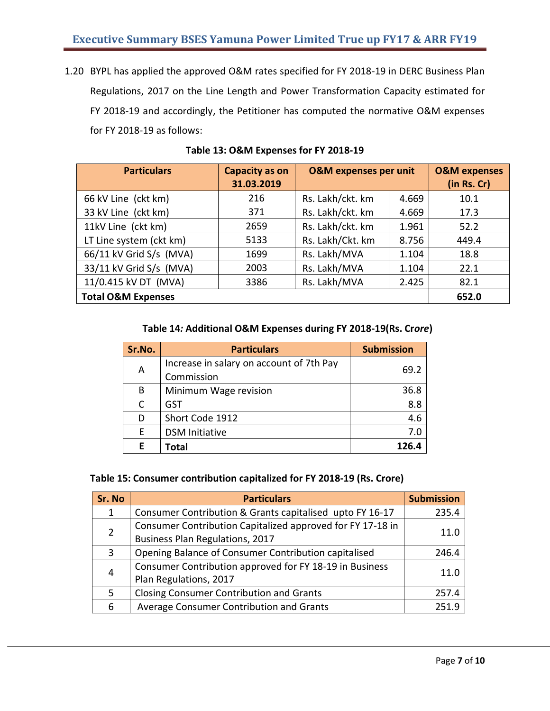1.20 BYPL has applied the approved O&M rates specified for FY 2018-19 in DERC Business Plan Regulations, 2017 on the Line Length and Power Transformation Capacity estimated for FY 2018-19 and accordingly, the Petitioner has computed the normative O&M expenses for FY 2018-19 as follows:

| <b>Particulars</b>            | <b>Capacity as on</b><br>31.03.2019 | <b>O&amp;M</b> expenses per unit |       | <b>O&amp;M</b> expenses<br>(in Rs. Cr) |
|-------------------------------|-------------------------------------|----------------------------------|-------|----------------------------------------|
| 66 kV Line (ckt km)           | 216                                 | Rs. Lakh/ckt. km                 | 4.669 | 10.1                                   |
| 33 kV Line (ckt km)           | 371                                 | Rs. Lakh/ckt. km                 | 4.669 | 17.3                                   |
| 11kV Line (ckt km)            | 2659                                | Rs. Lakh/ckt. km                 | 1.961 | 52.2                                   |
| LT Line system (ckt km)       | 5133                                | Rs. Lakh/Ckt. km                 | 8.756 | 449.4                                  |
| 66/11 kV Grid S/s (MVA)       | 1699                                | Rs. Lakh/MVA                     | 1.104 | 18.8                                   |
| 33/11 kV Grid S/s (MVA)       | 2003                                | Rs. Lakh/MVA                     | 1.104 | 22.1                                   |
| 11/0.415 kV DT (MVA)          | 3386                                | Rs. Lakh/MVA                     | 2.425 | 82.1                                   |
| <b>Total O&amp;M Expenses</b> |                                     |                                  | 652.0 |                                        |

**Table 13: O&M Expenses for FY 2018-19**

# **Table 14***:* **Additional O&M Expenses during FY 2018-19(Rs. Cr***ore***)**

| Sr.No. | <b>Particulars</b>                                     | <b>Submission</b> |
|--------|--------------------------------------------------------|-------------------|
| Α      | Increase in salary on account of 7th Pay<br>Commission | 69.2              |
| B      | Minimum Wage revision                                  | 36.8              |
| C      | GST                                                    | 8.8               |
| D      | Short Code 1912                                        | 4.6               |
| E      | <b>DSM Initiative</b>                                  | 7.0               |
| Е      | <b>Total</b>                                           | 126.4             |

## **Table 15: Consumer contribution capitalized for FY 2018-19 (Rs. Crore)**

| Sr. No                | <b>Particulars</b>                                         | <b>Submission</b> |  |
|-----------------------|------------------------------------------------------------|-------------------|--|
| 1                     | Consumer Contribution & Grants capitalised upto FY 16-17   | 235.4             |  |
|                       | Consumer Contribution Capitalized approved for FY 17-18 in |                   |  |
| $\mathbf{2}^{\prime}$ | Business Plan Regulations, 2017                            | 11.0              |  |
| 3                     | Opening Balance of Consumer Contribution capitalised       | 246.4             |  |
|                       | Consumer Contribution approved for FY 18-19 in Business    |                   |  |
| 4                     | Plan Regulations, 2017                                     | 11.0              |  |
| 5.                    | <b>Closing Consumer Contribution and Grants</b>            | 257.4             |  |
| 6                     | Average Consumer Contribution and Grants                   | 251.9             |  |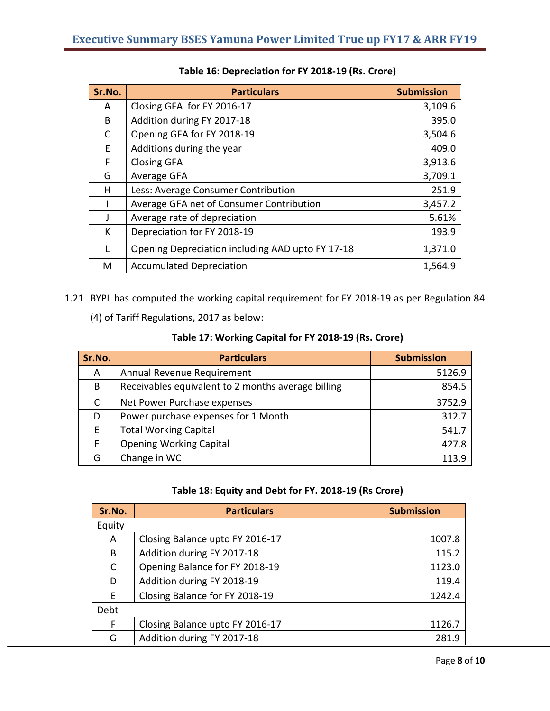| Sr.No. | <b>Particulars</b>                               | <b>Submission</b> |
|--------|--------------------------------------------------|-------------------|
| A      | Closing GFA for FY 2016-17                       | 3,109.6           |
| B      | Addition during FY 2017-18                       | 395.0             |
| C      | Opening GFA for FY 2018-19                       | 3,504.6           |
| F      | Additions during the year                        | 409.0             |
| F      | <b>Closing GFA</b>                               | 3,913.6           |
| G      | Average GFA                                      | 3,709.1           |
| н      | Less: Average Consumer Contribution              | 251.9             |
|        | Average GFA net of Consumer Contribution         | 3,457.2           |
|        | Average rate of depreciation                     | 5.61%             |
| К      | Depreciation for FY 2018-19                      | 193.9             |
|        | Opening Depreciation including AAD upto FY 17-18 | 1,371.0           |
| M      | <b>Accumulated Depreciation</b>                  | 1,564.9           |

1.21 BYPL has computed the working capital requirement for FY 2018-19 as per Regulation 84

(4) of Tariff Regulations, 2017 as below:

|  | Table 17: Working Capital for FY 2018-19 (Rs. Crore) |
|--|------------------------------------------------------|
|--|------------------------------------------------------|

| Sr.No. | <b>Particulars</b>                                 | <b>Submission</b> |
|--------|----------------------------------------------------|-------------------|
| A      | Annual Revenue Requirement                         | 5126.9            |
| B      | Receivables equivalent to 2 months average billing | 854.5             |
|        | Net Power Purchase expenses                        | 3752.9            |
| D      | Power purchase expenses for 1 Month                | 312.7             |
| F      | <b>Total Working Capital</b>                       | 541.7             |
| F      | <b>Opening Working Capital</b>                     | 427.8             |
| G      | Change in WC                                       | 113.9             |

# **Table 18: Equity and Debt for FY. 2018-19 (Rs Crore)**

| Sr.No.       | <b>Particulars</b>              | <b>Submission</b> |
|--------------|---------------------------------|-------------------|
| Equity       |                                 |                   |
| A            | Closing Balance upto FY 2016-17 | 1007.8            |
| B            | Addition during FY 2017-18      | 115.2             |
| $\mathsf{C}$ | Opening Balance for FY 2018-19  | 1123.0            |
| D            | Addition during FY 2018-19      | 119.4             |
| E.           | Closing Balance for FY 2018-19  | 1242.4            |
| Debt         |                                 |                   |
| F            | Closing Balance upto FY 2016-17 | 1126.7            |
| G            | Addition during FY 2017-18      | 281.9             |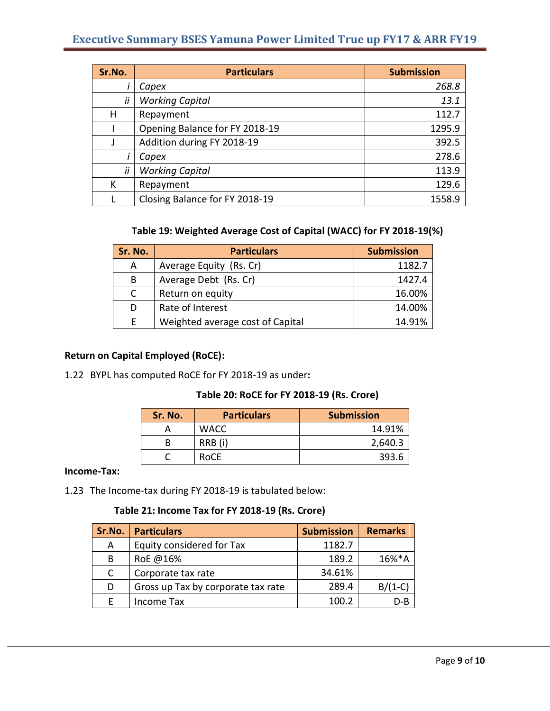| Sr.No. | <b>Particulars</b>             | <b>Submission</b> |
|--------|--------------------------------|-------------------|
|        | Capex                          | 268.8             |
| ii     | <b>Working Capital</b>         | 13.1              |
| н      | Repayment                      | 112.7             |
|        | Opening Balance for FY 2018-19 | 1295.9            |
|        | Addition during FY 2018-19     | 392.5             |
|        | Capex                          | 278.6             |
| ii     | <b>Working Capital</b>         | 113.9             |
| К      | Repayment                      | 129.6             |
|        | Closing Balance for FY 2018-19 | 1558.9            |

### **Table 19: Weighted Average Cost of Capital (WACC) for FY 2018-19(%)**

| Sr. No. | <b>Particulars</b>               | <b>Submission</b> |
|---------|----------------------------------|-------------------|
| A       | Average Equity (Rs. Cr)          | 1182.7            |
| B       | Average Debt (Rs. Cr)            | 1427.4            |
| C       | Return on equity                 | 16.00%            |
| D       | Rate of Interest                 | 14.00%            |
| F       | Weighted average cost of Capital | 14.91%            |

# **Return on Capital Employed (RoCE):**

1.22 BYPL has computed RoCE for FY 2018-19 as under**:**

## **Table 20: RoCE for FY 2018-19 (Rs. Crore)**

| Sr. No. | <b>Particulars</b> | <b>Submission</b> |
|---------|--------------------|-------------------|
|         | <b>WACC</b>        | 14.91%            |
| B       | RRB (i)            | 2,640.3           |
|         | <b>RoCE</b>        | 393.6             |

#### **Income-Tax:**

1.23 The Income-tax during FY 2018-19 is tabulated below:

# **Table 21: Income Tax for FY 2018-19 (Rs. Crore)**

| Sr.No. | <b>Particulars</b>                 | <b>Submission</b> | <b>Remarks</b> |
|--------|------------------------------------|-------------------|----------------|
| A      | Equity considered for Tax          | 1182.7            |                |
| B      | RoE @16%                           | 189.2             | 16%*A          |
|        | Corporate tax rate                 | 34.61%            |                |
| D      | Gross up Tax by corporate tax rate | 289.4             | $B/(1-C)$      |
|        | Income Tax                         | 100.2             | $D - B$        |